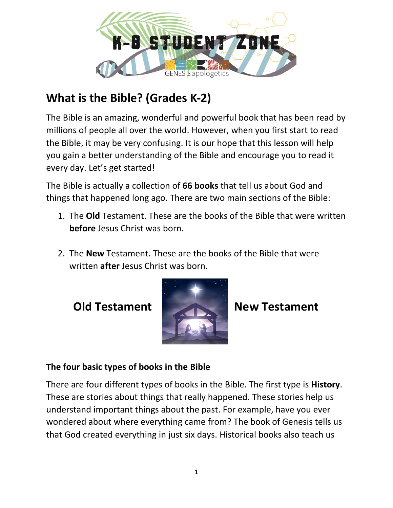

## **What is the Bible? (Grades K-2)**

The Bible is an amazing, wonderful and powerful book that has been read by millions of people all over the world. However, when you first start to read the Bible, it may be very confusing. It is our hope that this lesson will help you gain a better understanding of the Bible and encourage you to read it every day. Let's get started!

The Bible is actually a collection of **66 books** that tell us about God and things that happened long ago. There are two main sections of the Bible:

- 1. The **Old** Testament. These are the books of the Bible that were written **before** Jesus Christ was born.
- 2. The **New** Testament. These are the books of the Bible that were written **after** Jesus Christ was born.



**Old Testament New Testament**

## **The four basic types of books in the Bible**

There are four different types of books in the Bible. The first type is **History**. These are stories about things that really happened. These stories help us understand important things about the past. For example, have you ever wondered about where everything came from? The book of Genesis tells us that God created everything in just six days. Historical books also teach us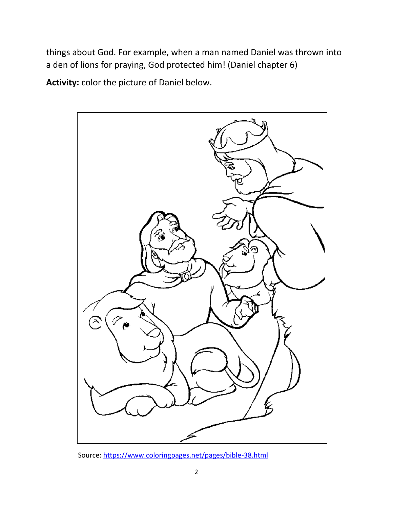things about God. For example, when a man named Daniel was thrown into a den of lions for praying, God protected him! (Daniel chapter 6)

**Activity:** color the picture of Daniel below.



Source:<https://www.coloringpages.net/pages/bible-38.html>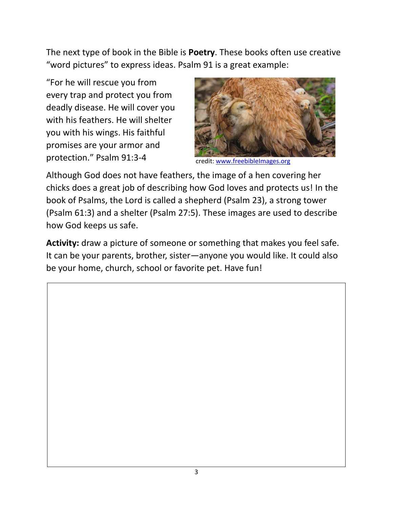The next type of book in the Bible is **Poetry**. These books often use creative "word pictures" to express ideas. Psalm 91 is a great example:

"For he will rescue you from every trap and protect you from deadly disease. He will cover you with his feathers. He will shelter you with his wings. His faithful promises are your armor and protection." Psalm 91:3-4



credit: [www.freebibleImages.org](http://www.freebibleimages.org/)

Although God does not have feathers, the image of a hen covering her chicks does a great job of describing how God loves and protects us! In the book of Psalms, the Lord is called a shepherd (Psalm 23), a strong tower (Psalm 61:3) and a shelter (Psalm 27:5). These images are used to describe how God keeps us safe.

**Activity:** draw a picture of someone or something that makes you feel safe. It can be your parents, brother, sister—anyone you would like. It could also be your home, church, school or favorite pet. Have fun!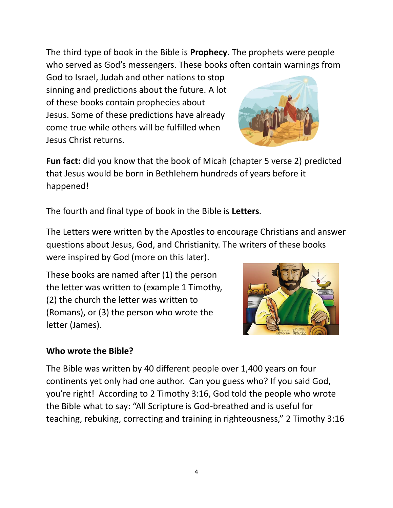The third type of book in the Bible is **Prophecy**. The prophets were people who served as God's messengers. These books often contain warnings from

God to Israel, Judah and other nations to stop sinning and predictions about the future. A lot of these books contain prophecies about Jesus. Some of these predictions have already come true while others will be fulfilled when Jesus Christ returns.



**Fun fact:** did you know that the book of Micah (chapter 5 verse 2) predicted that Jesus would be born in Bethlehem hundreds of years before it happened!

The fourth and final type of book in the Bible is **Letters**.

The Letters were written by the Apostles to encourage Christians and answer questions about Jesus, God, and Christianity. The writers of these books were inspired by God (more on this later).

These books are named after (1) the person the letter was written to (example 1 Timothy, (2) the church the letter was written to (Romans), or (3) the person who wrote the letter (James).



## **Who wrote the Bible?**

The Bible was written by 40 different people over 1,400 years on four continents yet only had one author. Can you guess who? If you said God, you're right! According to 2 Timothy 3:16, God told the people who wrote the Bible what to say: "All Scripture is God-breathed and is useful for teaching, rebuking, correcting and training in righteousness," 2 Timothy 3:16